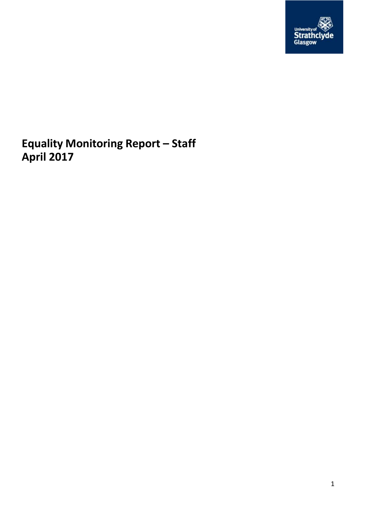

**Equality Monitoring Report – Staff April 2017**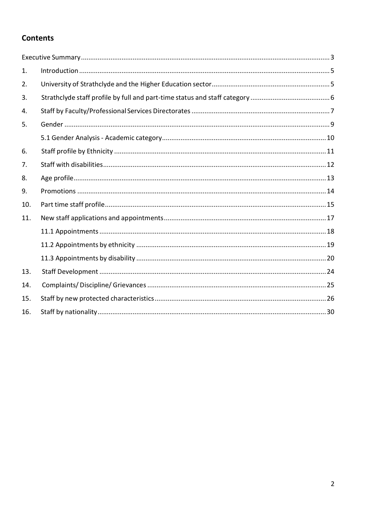## **Contents**

| 1.  |  |
|-----|--|
| 2.  |  |
| 3.  |  |
| 4.  |  |
| 5.  |  |
|     |  |
| 6.  |  |
| 7.  |  |
| 8.  |  |
| 9.  |  |
| 10. |  |
| 11. |  |
|     |  |
|     |  |
|     |  |
| 13. |  |
| 14. |  |
| 15. |  |
| 16. |  |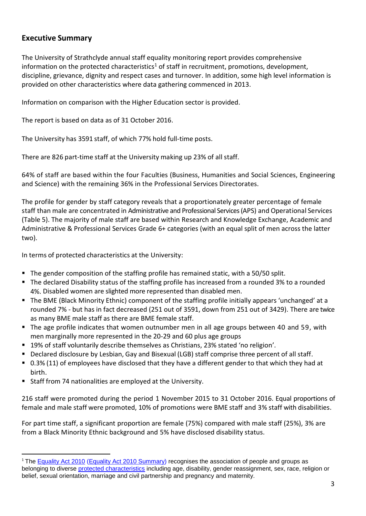## <span id="page-2-0"></span>**Executive Summary**

The University of Strathclyde annual staff equality monitoring report provides comprehensive information on the protected characteristics<sup>1</sup> of staff in recruitment, promotions, development, discipline, grievance, dignity and respect cases and turnover. In addition, some high level information is provided on other characteristics where data gathering commenced in 2013.

Information on comparison with the Higher Education sector is provided.

The report is based on data as of 31 October 2016.

The University has 3591 staff, of which 77% hold full-time posts.

There are 826 part-time staff at the University making up 23% of all staff.

64% of staff are based within the four Faculties (Business, Humanities and Social Sciences, Engineering and Science) with the remaining 36% in the Professional Services Directorates.

The profile for gender by staff category reveals that a proportionately greater percentage of female staff than male are concentrated in Administrative and Professional Services (APS) and Operational Services (Table 5). The majority of male staff are based within Research and Knowledge Exchange, Academic and Administrative & Professional Services Grade 6+ categories (with an equal split of men across the latter two).

In terms of protected characteristics at the University:

- $\blacksquare$  The gender composition of the staffing profile has remained static, with a 50/50 split.
- The declared Disability status of the staffing profile has increased from a rounded 3% to a rounded 4%. Disabled women are slighted more represented than disabled men.
- The BME (Black Minority Ethnic) component of the staffing profile initially appears 'unchanged' at a rounded 7% - but has in fact decreased (251 out of 3591, down from 251 out of 3429). There are twice as many BME male staff as there are BME female staff.
- The age profile indicates that women outnumber men in all age groups between 40 and 59, with men marginally more represented in the 20-29 and 60 plus age groups
- 19% of staff voluntarily describe themselves as Christians, 23% stated 'no religion'.
- **Declared disclosure by Lesbian, Gay and Bisexual (LGB) staff comprise three percent of all staff.**
- 0.3% (11) of employees have disclosed that they have a different gender to that which they had at birth.
- Staff from 74 nationalities are employed at the University.

 $\overline{a}$ 

216 staff were promoted during the period 1 November 2015 to 31 October 2016. Equal proportions of female and male staff were promoted, 10% of promotions were BME staff and 3% staff with disabilities.

For part time staff, a significant proportion are female (75%) compared with male staff (25%), 3% are from a Black Minority Ethnic background and 5% have disclosed disability status.

<sup>&</sup>lt;sup>1</sup> The **[Equality Act 2010](http://www.legislation.gov.uk/ukpga/2010/15/contents) [\(Equality Act 2010 Summary\)](http://www.strath.ac.uk/media/ps/sees/equality/Equality_Act_2010_updated_summary_web_May_2014-2016.pdf)** recognises the association of people and groups as belonging to diverse [protected characteristics](http://www.equalityhumanrights.com/private-and-public-sector-guidance/guidance-all/protected-characteristics) including age, disability, gender reassignment, sex, race, religion or belief, sexual orientation, marriage and civil partnership and pregnancy and maternity.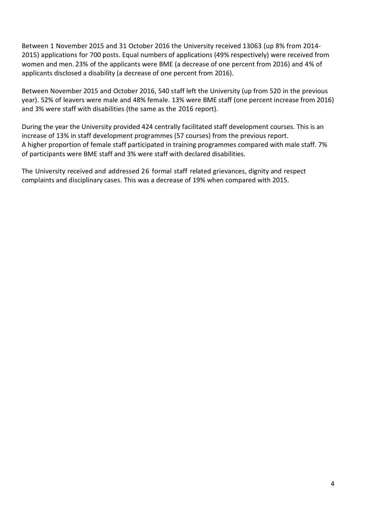Between 1 November 2015 and 31 October 2016 the University received 13063 (up 8% from 2014- 2015) applications for 700 posts. Equal numbers of applications (49% respectively) were received from women and men. 23% of the applicants were BME (a decrease of one percent from 2016) and 4% of applicants disclosed a disability (a decrease of one percent from 2016).

Between November 2015 and October 2016, 540 staff left the University (up from 520 in the previous year). 52% of leavers were male and 48% female. 13% were BME staff (one percent increase from 2016) and 3% were staff with disabilities (the same as the 2016 report).

During the year the University provided 424 centrally facilitated staff development courses. This is an increase of 13% in staff development programmes (57 courses) from the previous report. A higher proportion of female staff participated in training programmes compared with male staff. 7% of participants were BME staff and 3% were staff with declared disabilities.

The University received and addressed 26 formal staff related grievances, dignity and respect complaints and disciplinary cases. This was a decrease of 19% when compared with 2015.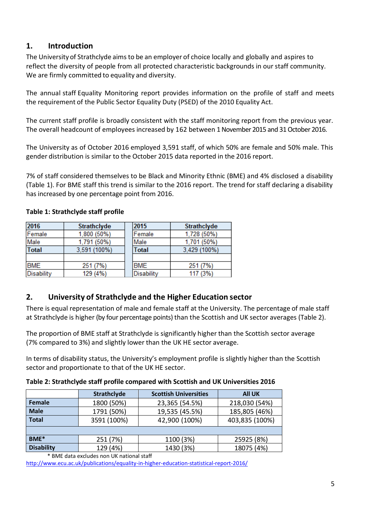## <span id="page-4-0"></span>**1. Introduction**

The University of Strathclyde aims to be an employer of choice locally and globally and aspires to reflect the diversity of people from all protected characteristic backgrounds in our staff community. We are firmly committed to equality and diversity.

The annual staff Equality Monitoring report provides information on the profile of staff and meets the requirement of the Public Sector Equality Duty (PSED) of the 2010 Equality Act.

The current staff profile is broadly consistent with the staff monitoring report from the previous year. The overall headcount of employees increased by 162 between 1 November 2015 and 31 October 2016.

The University as of October 2016 employed 3,591 staff, of which 50% are female and 50% male. This gender distribution is similar to the October 2015 data reported in the 2016 report.

7% of staff considered themselves to be Black and Minority Ethnic (BME) and 4% disclosed a disability (Table 1). For BME staff this trend is similar to the 2016 report. The trend for staff declaring a disability has increased by one percentage point from 2016.

# **Table 1: Strathclyde staff profile**

| 2016         | Strathclyde  | 2015         | <b>Strathclyde</b> |
|--------------|--------------|--------------|--------------------|
| Female       | 1,800 (50%)  | Female       | 1,728 (50%)        |
| Male         | 1,791 (50%)  | Male         | 1,701 (50%)        |
| <b>Total</b> | 3.591 (100%) | <b>Total</b> | 3,429 (100%)       |
|              |              |              |                    |
| <b>BME</b>   | 251 (7%)     | <b>BME</b>   | 251 (7%)           |
| Disability   | 129 (4%)     | Disability   | 117 (3%)           |

## <span id="page-4-1"></span>**2. University of Strathclyde and the Higher Education sector**

There is equal representation of male and female staff at the University. The percentage of male staff at Strathclyde is higher (by four percentage points) than the Scottish and UK sector averages (Table 2).

The proportion of BME staff at Strathclyde is significantly higher than the Scottish sector average (7% compared to 3%) and slightly lower than the UK HE sector average.

In terms of disability status, the University's employment profile is slightly higher than the Scottish sector and proportionate to that of the UK HE sector.

**Table 2: Strathclyde staff profile compared with Scottish and UK Universities 2016**

|                   | Strathclyde | <b>Scottish Universities</b> | <b>All UK</b>  |
|-------------------|-------------|------------------------------|----------------|
| Female            | 1800 (50%)  | 23,365 (54.5%)               | 218,030 (54%)  |
| <b>Male</b>       | 1791 (50%)  | 19,535 (45.5%)               | 185,805 (46%)  |
| <b>Total</b>      | 3591 (100%) | 42,900 (100%)                | 403,835 (100%) |
|                   |             |                              |                |
| BME <sup>*</sup>  | 251 (7%)    | 1100 (3%)                    | 25925 (8%)     |
| <b>Disability</b> | 129 (4%)    | 1430 (3%)                    | 18075 (4%)     |

\* BME data excludes non UK national staff

<http://www.ecu.ac.uk/publications/equality-in-higher-education-statistical-report-2016/>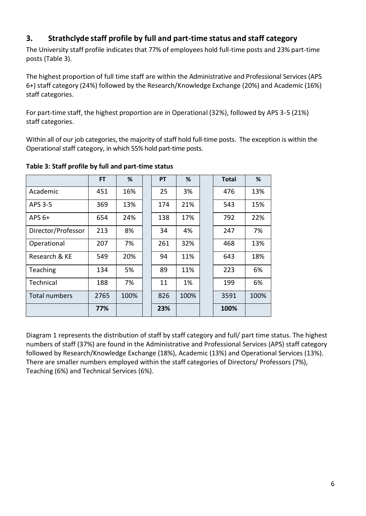## <span id="page-5-0"></span>**3. Strathclyde staff profile by full and part-time status and staff category**

The University staff profile indicates that 77% of employees hold full-time posts and 23% part-time posts (Table 3).

The highest proportion of full time staff are within the Administrative and Professional Services (APS 6+) staff category (24%) followed by the Research/Knowledge Exchange (20%) and Academic (16%) staff categories.

For part-time staff, the highest proportion are in Operational (32%), followed by APS 3-5 (21%) staff categories.

Within all of our job categories, the majority of staff hold full-time posts. The exception is within the Operational staff category, in which 55% hold part-time posts.

|                      | FT.  | %    | <b>PT</b> | %    | <b>Total</b> | %    |
|----------------------|------|------|-----------|------|--------------|------|
| Academic             | 451  | 16%  | 25        | 3%   | 476          | 13%  |
| APS 3-5              | 369  | 13%  | 174       | 21%  | 543          | 15%  |
| APS $6+$             | 654  | 24%  | 138       | 17%  | 792          | 22%  |
| Director/Professor   | 213  | 8%   | 34        | 4%   | 247          | 7%   |
| Operational          | 207  | 7%   | 261       | 32%  | 468          | 13%  |
| Research & KE        | 549  | 20%  | 94        | 11%  | 643          | 18%  |
| Teaching             | 134  | 5%   | 89        | 11%  | 223          | 6%   |
| Technical            | 188  | 7%   | 11        | 1%   | 199          | 6%   |
| <b>Total numbers</b> | 2765 | 100% | 826       | 100% | 3591         | 100% |
|                      | 77%  |      | 23%       |      | 100%         |      |

## **Table 3: Staff profile by full and part-time status**

Diagram 1 represents the distribution of staff by staff category and full/ part time status. The highest numbers of staff (37%) are found in the Administrative and Professional Services (APS) staff category followed by Research/Knowledge Exchange (18%), Academic (13%) and Operational Services (13%). There are smaller numbers employed within the staff categories of Directors/ Professors (7%), Teaching (6%) and Technical Services (6%).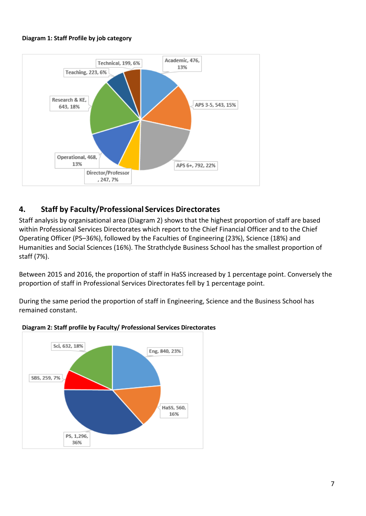#### **Diagram 1: Staff Profile by job category**



## <span id="page-6-0"></span>**4. Staff by Faculty/Professional Services Directorates**

Staff analysis by organisational area (Diagram 2) shows that the highest proportion of staff are based within Professional Services Directorates which report to the Chief Financial Officer and to the Chief Operating Officer (PS–36%), followed by the Faculties of Engineering (23%), Science (18%) and Humanities and Social Sciences (16%). The Strathclyde Business School has the smallest proportion of staff (7%).

Between 2015 and 2016, the proportion of staff in HaSS increased by 1 percentage point. Conversely the proportion of staff in Professional Services Directorates fell by 1 percentage point.

During the same period the proportion of staff in Engineering, Science and the Business School has remained constant.



#### **Diagram 2: Staff profile by Faculty/ Professional Services Directorates**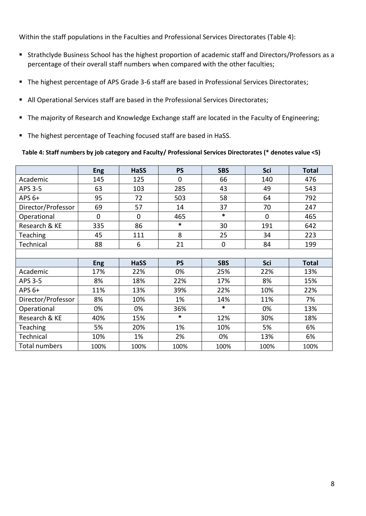Within the staff populations in the Faculties and Professional Services Directorates (Table 4):

- Strathclyde Business School has the highest proportion of academic staff and Directors/Professors as a percentage of their overall staff numbers when compared with the other faculties;
- The highest percentage of APS Grade 3-6 staff are based in Professional Services Directorates;
- All Operational Services staff are based in the Professional Services Directorates;
- The majority of Research and Knowledge Exchange staff are located in the Faculty of Engineering;
- The highest percentage of Teaching focused staff are based in HaSS.

#### **Table 4: Staff numbers by job category and Faculty/ Professional Services Directorates (\* denotes value <5)**

|                    | <b>Eng</b>  | <b>HaSS</b>    | <b>PS</b>      | <b>SBS</b>  | <b>Sci</b>     | <b>Total</b> |
|--------------------|-------------|----------------|----------------|-------------|----------------|--------------|
| Academic           | 145         | 125            | $\overline{0}$ | 66          | 140            | 476          |
| APS 3-5            | 63          | 103            | 285            | 43          | 49             | 543          |
| APS $6+$           | 95          | 72             | 503            | 58          | 64             | 792          |
| Director/Professor | 69          | 57             | 14             | 37          | 70             | 247          |
| Operational        | $\mathbf 0$ | $\overline{0}$ | 465            | $\ast$      | $\overline{0}$ | 465          |
| Research & KE      | 335         | 86             | $\ast$         | 30          | 191            | 642          |
| Teaching           | 45          | 111            | 8              | 25          | 34             | 223          |
| Technical          | 88          | 6              | 21             | $\mathbf 0$ | 84             | 199          |
|                    |             |                |                |             |                |              |
|                    | <b>Eng</b>  | <b>HaSS</b>    | <b>PS</b>      | <b>SBS</b>  | Sci            | <b>Total</b> |
| Academic           | 17%         | 22%            | 0%             | 25%         | 22%            | 13%          |
| APS 3-5            | 8%          | 18%            | 22%            | 17%         | 8%             | 15%          |
| APS $6+$           | 11%         | 13%            | 39%            | 22%         | 10%            | 22%          |
| Director/Professor | 8%          | 10%            | 1%             | 14%         | 11%            | 7%           |
| Operational        | 0%          | 0%             | 36%            | $\ast$      | 0%             | 13%          |
| Research & KE      | 40%         | 15%            | $\ast$         | 12%         | 30%            | 18%          |
| <b>Teaching</b>    | 5%          | 20%            | 1%             | 10%         | 5%             | 6%           |
| Technical          | 10%         | 1%             | 2%             | 0%          | 13%            | 6%           |
| Total numbers      | 100%        | 100%           | 100%           | 100%        | 100%           | 100%         |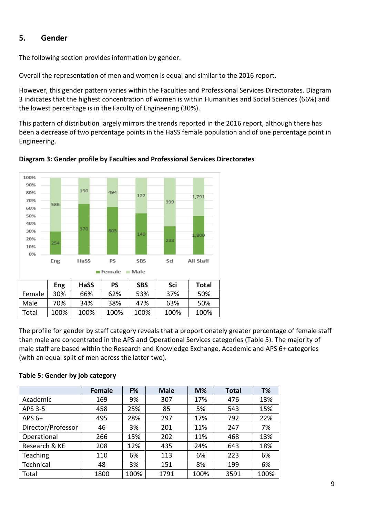## <span id="page-8-0"></span>**5. Gender**

The following section provides information by gender.

Overall the representation of men and women is equal and similar to the 2016 report.

However, this gender pattern varies within the Faculties and Professional Services Directorates. Diagram 3 indicates that the highest concentration of women is within Humanities and Social Sciences (66%) and the lowest percentage is in the Faculty of Engineering (30%).

This pattern of distribution largely mirrors the trends reported in the 2016 report, although there has been a decrease of two percentage points in the HaSS female population and of one percentage point in Engineering.



**Diagram 3: Gender profile by Faculties and Professional Services Directorates**

The profile for gender by staff category reveals that a proportionately greater percentage of female staff than male are concentrated in the APS and Operational Services categories (Table 5). The majority of male staff are based within the Research and Knowledge Exchange, Academic and APS 6+ categories (with an equal split of men across the latter two).

## **Table 5: Gender by job category**

|                    | <b>Female</b> | F%   | <b>Male</b> | $M\%$ | <b>Total</b> | T%   |
|--------------------|---------------|------|-------------|-------|--------------|------|
| Academic           | 169           | 9%   | 307         | 17%   | 476          | 13%  |
| APS 3-5            | 458           | 25%  | 85          | 5%    | 543          | 15%  |
| APS $6+$           | 495           | 28%  | 297         | 17%   | 792          | 22%  |
| Director/Professor | 46            | 3%   | 201         | 11%   | 247          | 7%   |
| Operational        | 266           | 15%  | 202         | 11%   | 468          | 13%  |
| Research & KE      | 208           | 12%  | 435         | 24%   | 643          | 18%  |
| Teaching           | 110           | 6%   | 113         | 6%    | 223          | 6%   |
| Technical          | 48            | 3%   | 151         | 8%    | 199          | 6%   |
| Total              | 1800          | 100% | 1791        | 100%  | 3591         | 100% |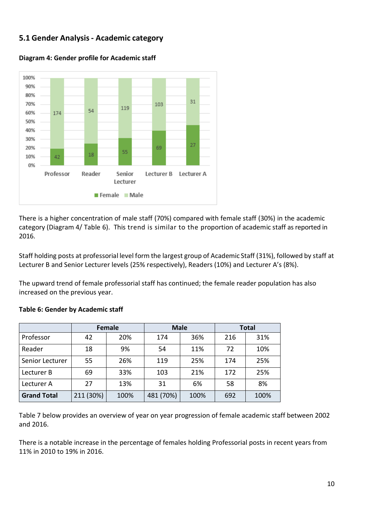## <span id="page-9-0"></span>**5.1 Gender Analysis- Academic category**



**Diagram 4: Gender profile for Academic staff**

There is a higher concentration of male staff (70%) compared with female staff (30%) in the academic category (Diagram 4/ Table 6). This trend is similar to the proportion of academic staff as reported in 2016.

Staff holding posts at professorial level form the largest group of Academic Staff (31%), followed by staff at Lecturer B and Senior Lecturer levels (25% respectively), Readers (10%) and Lecturer A's (8%).

The upward trend of female professorial staff has continued; the female reader population has also increased on the previous year.

|                    | <b>Female</b> |      | <b>Male</b> |      | <b>Total</b> |      |  |
|--------------------|---------------|------|-------------|------|--------------|------|--|
| Professor          | 42            | 20%  | 174         | 36%  | 216          | 31%  |  |
| Reader             | 18            | 9%   | 54          | 11%  | 72           | 10%  |  |
| Senior Lecturer    | 55            | 26%  | 119         | 25%  | 174          | 25%  |  |
| Lecturer B         | 69            | 33%  | 103         | 21%  | 172          | 25%  |  |
| Lecturer A         | 27            | 13%  | 31          | 6%   | 58           | 8%   |  |
| <b>Grand Total</b> | 211 (30%)     | 100% | 481 (70%)   | 100% | 692          | 100% |  |

### **Table 6: Gender by Academic staff**

Table 7 below provides an overview of year on year progression of female academic staff between 2002 and 2016.

There is a notable increase in the percentage of females holding Professorial posts in recent years from 11% in 2010 to 19% in 2016.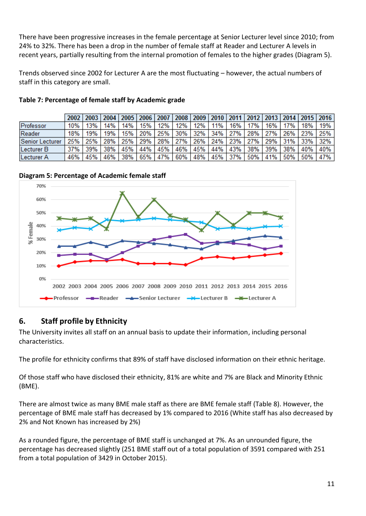There have been progressive increases in the female percentage at Senior Lecturer level since 2010; from 24% to 32%. There has been a drop in the number of female staff at Reader and Lecturer A levels in recent years, partially resulting from the internal promotion of females to the higher grades (Diagram 5).

Trends observed since 2002 for Lecturer A are the most fluctuating – however, the actual numbers of staff in this category are small.

|                       |       |     |         |       |         |     |                 |  |         | 2002   2003   2004   2005   2006   2007   2008   2009   2010   2011   2012   2013   2014   2015   2016 |     |       |         |
|-----------------------|-------|-----|---------|-------|---------|-----|-----------------|--|---------|--------------------------------------------------------------------------------------------------------|-----|-------|---------|
| Professor             | 10%   | 13% | 14%     | 14% l | 15%     | 12% | 12% 12% 11%     |  | 16% 17% | 16%                                                                                                    | 17% | 18%   | 19%     |
| Reader                | 18%   | 19% | 19%     |       | 15% 20% |     |                 |  |         | 25% 30% 32% 34% 27% 28% 27% 26%                                                                        |     | 23%   | 25%     |
| Senior Lecturer       | 25%   |     | 25% 28% |       | 25% 29% |     |                 |  |         | 28%   27%   26%   24%   23%   27%   29%   31%                                                          |     | 33% l | 32%     |
| Lecturer B            | 37% l | 39% | 38%     | 45%   | 44%     |     | 45% 46% 45% 44% |  |         | 43% 38% 39%                                                                                            | 38% | 40%   | 40%     |
| Lecturer <sub>A</sub> | 46%   | 45% | 46% 38% |       |         |     |                 |  |         | 65%   47%   60%   48%   45%   37%   50%   41%   50%                                                    |     |       | 50% 47% |

**Table 7: Percentage of female staff by Academic grade**

**Diagram 5: Percentage of Academic female staff**



## <span id="page-10-0"></span>**6. Staff profile by Ethnicity**

The University invites all staff on an annual basis to update their information, including personal characteristics.

The profile for ethnicity confirms that 89% of staff have disclosed information on their ethnic heritage.

Of those staff who have disclosed their ethnicity, 81% are white and 7% are Black and Minority Ethnic (BME).

There are almost twice as many BME male staff as there are BME female staff (Table 8). However, the percentage of BME male staff has decreased by 1% compared to 2016 (White staff has also decreased by 2% and Not Known has increased by 2%)

As a rounded figure, the percentage of BME staff is unchanged at 7%. As an unrounded figure, the percentage has decreased slightly (251 BME staff out of a total population of 3591 compared with 251 from a total population of 3429 in October 2015).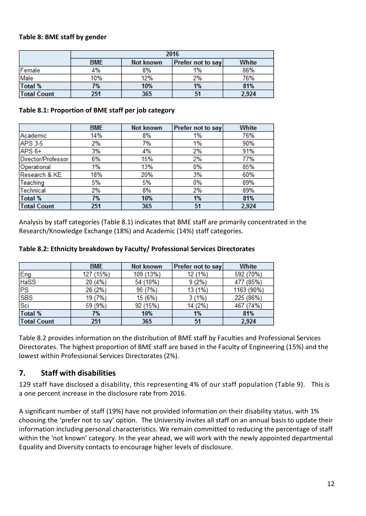### **Table 8: BME staff by gender**

|                    |            | 2016                              |    |     |  |  |  |  |  |  |  |  |
|--------------------|------------|-----------------------------------|----|-----|--|--|--|--|--|--|--|--|
|                    | <b>BME</b> | White<br><b>Prefer not to say</b> |    |     |  |  |  |  |  |  |  |  |
| Female             | 4%         | 8%                                | 1% | 86% |  |  |  |  |  |  |  |  |
| Male               | 10%        | 12%                               | 2% | 76% |  |  |  |  |  |  |  |  |
| <b>Total %</b>     | 7%         | 10%                               | 1% | 81% |  |  |  |  |  |  |  |  |
| <b>Total Count</b> | 51         | 2,924                             |    |     |  |  |  |  |  |  |  |  |

### **Table 8.1: Proportion of BME staff per job category**

|                    | <b>BME</b> | Not known | Prefer not to say | White |
|--------------------|------------|-----------|-------------------|-------|
| Academic           | 14%        | 8%        | 1%                | 76%   |
| <b>APS 3-5</b>     | 2%         | 7%        | 1%                | 90%   |
| APS 6+             | 3%         | 4%        | 2%                | 91%   |
| Director/Professor | 6%         | 15%       | 2%                | 77%   |
| Operational        | 1%         | 13%       | 0%                | 85%   |
| Research & KE      | 18%        | 20%       | 3%                | 60%   |
| Teaching           | 5%         | 5%        | 0%                | 89%   |
| <b>Technical</b>   | 2%         | 8%        | 2%                | 89%   |
| <b>Total %</b>     | 7%         | 10%       | 1%                | 81%   |
| <b>Total Count</b> | 251        | 365       | 51                | 2,924 |

Analysis by staff categories (Table 8.1) indicates that BME staff are primarily concentrated in the Research/Knowledge Exchange (18%) and Academic (14%) staff categories.

|                    | <b>BME</b> | <b>Not known</b> | Prefer not to say | White      |
|--------------------|------------|------------------|-------------------|------------|
| Eng<br>HaSS        | 127 (15%)  | 109 (13%)        | 12 (1%)           | 592 (70%)  |
|                    | 20 (4%)    | 54 (10%)         | 9(2%)             | 477 (85%)  |
| <b>PS</b>          | 26 (2%)    | 95 (7%)          | 13 (1%)           | 1163 (90%) |
| <b>SBS</b>         | 19 (7%)    | 15(6%)           | $3(1\%)$          | 225 (86%)  |
| Sci                | 59 (9%)    | 92 (15%)         | 14 (2%)           | 467 (74%)  |
| <b>Total %</b>     | 7%         | 10%              | 1%                | 81%        |
| <b>Total Count</b> | 251        | 365              | 51                | 2,924      |

#### **Table 8.2: Ethnicity breakdown by Faculty/ Professional Services Directorates**

Table 8.2 provides information on the distribution of BME staff by Faculties and Professional Services Directorates. The highest proportion of BME staff are based in the Faculty of Engineering (15%) and the lowest within Professional Services Directorates (2%).

## <span id="page-11-0"></span>**7. Staff with disabilities**

129 staff have disclosed a disability, this representing 4% of our staff population (Table 9). This is a one percent increase in the disclosure rate from 2016.

A significant number of staff (19%) have not provided information on their disability status, with 1% choosing the 'prefer not to say' option. The University invites all staff on an annual basis to update their information including personal characteristics. We remain committed to reducing the percentage of staff within the 'not known' category. In the year ahead, we will work with the newly appointed departmental Equality and Diversity contacts to encourage higher levels of disclosure.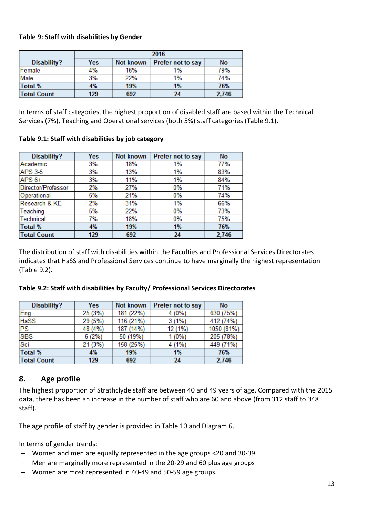### **Table 9: Staff with disabilities by Gender**

|                    | 2016 |           |                   |           |  |  |  |  |  |  |
|--------------------|------|-----------|-------------------|-----------|--|--|--|--|--|--|
| Disability?        | Yes  | Not known | Prefer not to say | <b>No</b> |  |  |  |  |  |  |
| Female             | 4%   | 16%       | 1%                | 79%       |  |  |  |  |  |  |
| Male               | 3%   | 22%       | 1%                | 74%       |  |  |  |  |  |  |
| <b>Total %</b>     | 4%   | 19%       | 1%                | 76%       |  |  |  |  |  |  |
| <b>Total Count</b> | 129  | 692       | 24                | 2,746     |  |  |  |  |  |  |

In terms of staff categories, the highest proportion of disabled staff are based within the Technical Services (7%), Teaching and Operational services (both 5%) staff categories (Table 9.1).

### **Table 9.1: Staff with disabilities by job category**

| <b>Disability?</b> | Yes | Not known | Prefer not to say | <b>No</b> |
|--------------------|-----|-----------|-------------------|-----------|
| Academic           | 3%  | 18%       | 1%                | 77%       |
| <b>APS 3-5</b>     | 3%  | 13%       | 1%                | 83%       |
| $APS6+$            | 3%  | 11%       | 1%                | 84%       |
| Director/Professor | 2%  | 27%       | 0%                | 71%       |
| Operational        | 5%  | 21%       | 0%                | 74%       |
| Research & KE      | 2%  | 31%       | 1%                | 66%       |
| Teaching           | 5%  | 22%       | 0%                | 73%       |
| <b>Technical</b>   | 7%  | 18%       | 0%                | 75%       |
| <b>Total %</b>     | 4%  | 19%       | 1%                | 76%       |
| <b>Total Count</b> | 129 | 692       | 24                | 2,746     |

The distribution of staff with disabilities within the Faculties and Professional Services Directorates indicates that HaSS and Professional Services continue to have marginally the highest representation (Table 9.2).

| Disability?        | Yes     | Not known | Prefer not to say | <b>No</b>  |
|--------------------|---------|-----------|-------------------|------------|
| Eng                | 25 (3%) | 181 (22%) | $4(0\%)$          | 630 (75%)  |
| HaSS               | 29 (5%) | 116 (21%) | $3(1\%)$          | 412 (74%)  |
| <b>PS</b>          | 48 (4%) | 187 (14%) | 12 (1%)           | 1050 (81%) |
| <b>SBS</b>         | 6(2%)   | 50 (19%)  | $1(0\%)$          | 205 (78%)  |
| Sci                | 21 (3%) | 158 (25%) | 4 (1%)            | 449 (71%)  |
| <b>Total %</b>     | 4%      | 19%       | 1%                | 76%        |
| <b>Total Count</b> | 129     | 692       | 24                | 2,746      |

#### **Table 9.2: Staff with disabilities by Faculty/ Professional Services Directorates**

## <span id="page-12-0"></span>**8. Age profile**

The highest proportion of Strathclyde staff are between 40 and 49 years of age. Compared with the 2015 data, there has been an increase in the number of staff who are 60 and above (from 312 staff to 348 staff).

The age profile of staff by gender is provided in Table 10 and Diagram 6.

In terms of gender trends:

- Women and men are equally represented in the age groups <20 and 30-39
- Men are marginally more represented in the 20-29 and 60 plus age groups
- Women are most represented in 40-49 and 50-59 age groups.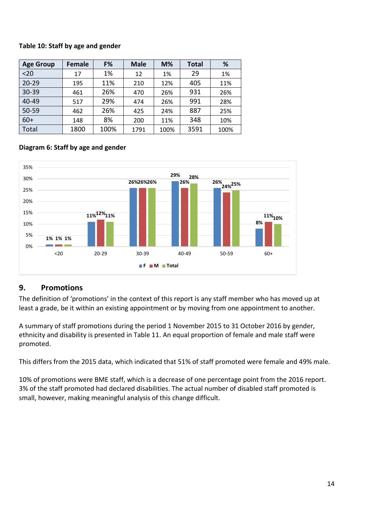## **Table 10: Staff by age and gender**

| <b>Age Group</b> | Female | F%   | <b>Male</b> | $M\%$ | <b>Total</b> | %    |
|------------------|--------|------|-------------|-------|--------------|------|
| $20$             | 17     | 1%   | 12          | 1%    | 29           | 1%   |
| $20 - 29$        | 195    | 11%  | 210         | 12%   | 405          | 11%  |
| $30 - 39$        | 461    | 26%  | 470         | 26%   | 931          | 26%  |
| 40-49            | 517    | 29%  | 474         | 26%   | 991          | 28%  |
| $50 - 59$        | 462    | 26%  | 425         | 24%   | 887          | 25%  |
| $60+$            | 148    | 8%   | 200         | 11%   | 348          | 10%  |
| Total            | 1800   | 100% | 1791        | 100%  | 3591         | 100% |

## **Diagram 6: Staff by age and gender**



## <span id="page-13-0"></span>**9. Promotions**

The definition of 'promotions' in the context of this report is any staff member who has moved up at least a grade, be it within an existing appointment or by moving from one appointment to another.

A summary of staff promotions during the period 1 November 2015 to 31 October 2016 by gender, ethnicity and disability is presented in Table 11. An equal proportion of female and male staff were promoted.

This differs from the 2015 data, which indicated that 51% of staff promoted were female and 49% male.

10% of promotions were BME staff, which is a decrease of one percentage point from the 2016 report. 3% of the staff promoted had declared disabilities. The actual number of disabled staff promoted is small, however, making meaningful analysis of this change difficult.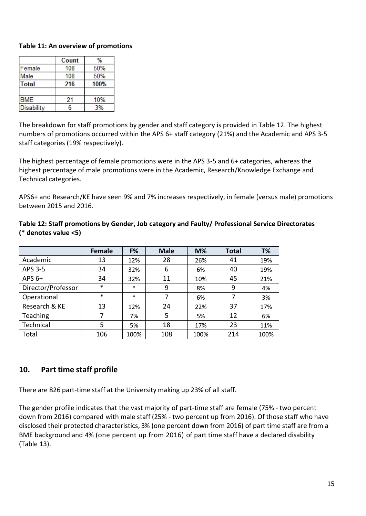### **Table 11: An overview of promotions**

|              | Count | %    |
|--------------|-------|------|
| Female       | 108   | 50%  |
| Male         | 108   | 50%  |
| <b>Total</b> | 216   | 100% |
|              |       |      |
| <b>BME</b>   | 21    | 10%  |
| Disability   | հ     | 3%   |

The breakdown for staff promotions by gender and staff category is provided in Table 12. The highest numbers of promotions occurred within the APS 6+ staff category (21%) and the Academic and APS 3-5 staff categories (19% respectively).

The highest percentage of female promotions were in the APS 3-5 and 6+ categories, whereas the highest percentage of male promotions were in the Academic, Research/Knowledge Exchange and Technical categories.

APS6+ and Research/KE have seen 9% and 7% increases respectively, in female (versus male) promotions between 2015 and 2016.

|                    | <b>Female</b> | F%     | <b>Male</b> | $M\%$ | <b>Total</b> | T%   |
|--------------------|---------------|--------|-------------|-------|--------------|------|
| Academic           | 13            | 12%    | 28          | 26%   | 41           | 19%  |
| APS 3-5            | 34            | 32%    | 6           | 6%    | 40           | 19%  |
| APS $6+$           | 34            | 32%    | 11          | 10%   | 45           | 21%  |
| Director/Professor | $\ast$        | $\ast$ | 9           | 8%    | 9            | 4%   |
| Operational        | $\ast$        | $\ast$ | 7           | 6%    | 7            | 3%   |
| Research & KE      | 13            | 12%    | 24          | 22%   | 37           | 17%  |
| Teaching           | 7             | 7%     | 5           | 5%    | 12           | 6%   |
| Technical          | 5             | 5%     | 18          | 17%   | 23           | 11%  |
| Total              | 106           | 100%   | 108         | 100%  | 214          | 100% |

**Table 12: Staff promotions by Gender, Job category and Faulty/ Professional Service Directorates (\* denotes value <5)**

## <span id="page-14-0"></span>**10. Part time staff profile**

There are 826 part-time staff at the University making up 23% of all staff.

The gender profile indicates that the vast majority of part-time staff are female (75% - two percent down from 2016) compared with male staff (25% - two percent up from 2016). Of those staff who have disclosed their protected characteristics, 3% (one percent down from 2016) of part time staff are from a BME background and 4% (one percent up from 2016) of part time staff have a declared disability (Table 13).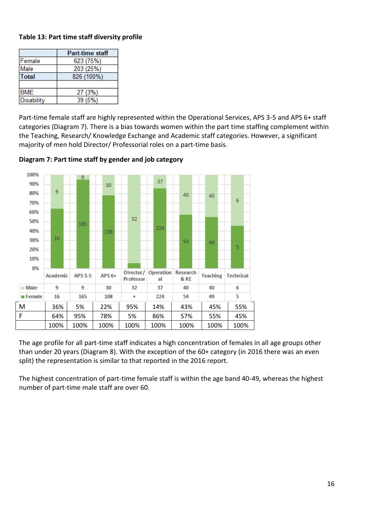## **Table 13: Part time staff diversity profile**

|                   | <b>Part-time staff</b> |
|-------------------|------------------------|
| Female            | 623 (75%)              |
| Male              | 203 (25%)              |
| <b>Total</b>      | 826 (100%)             |
|                   |                        |
| <b>BME</b>        | 27 (3%)                |
| <b>Disability</b> | 39 (5%)                |

Part-time female staff are highly represented within the Operational Services, APS 3-5 and APS 6+ staff categories (Diagram 7). There is a bias towards women within the part time staffing complement within the Teaching, Research/ Knowledge Exchange and Academic staff categories. However, a significant majority of men hold Director/ Professorial roles on a part-time basis.



**Diagram 7: Part time staff by gender and job category**

The age profile for all part-time staff indicates a high concentration of females in all age groups other than under 20 years (Diagram 8). With the exception of the 60+ category (in 2016 there was an even split) the representation is similar to that reported in the 2016 report.

The highest concentration of part-time female staff is within the age band 40-49, whereas the highest number of part-time male staff are over 60.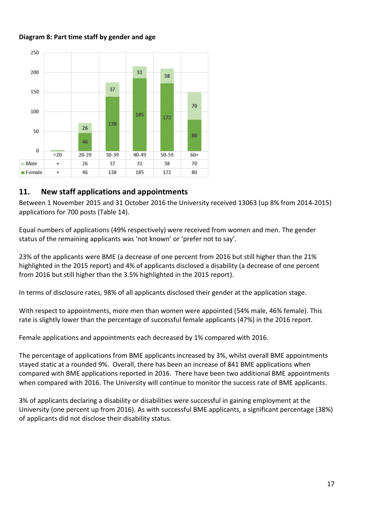### **Diagram 8: Part time staff by gender and age**



## <span id="page-16-0"></span>**11. New staff applications and appointments**

Between 1 November 2015 and 31 October 2016 the University received 13063 (up 8% from 2014-2015) applications for 700 posts (Table 14).

Equal numbers of applications (49% respectively) were received from women and men. The gender status of the remaining applicants was 'not known' or 'prefer not to say'.

23% of the applicants were BME (a decrease of one percent from 2016 but still higher than the 21% highlighted in the 2015 report) and 4% of applicants disclosed a disability (a decrease of one percent from 2016 but still higher than the 3.5% highlighted in the 2015 report).

In terms of disclosure rates, 98% of all applicants disclosed their gender at the application stage.

With respect to appointments, more men than women were appointed (54% male, 46% female). This rate is slightly lower than the percentage of successful female applicants (47%) in the 2016 report.

Female applications and appointments each decreased by 1% compared with 2016.

The percentage of applications from BME applicants increased by 3%, whilst overall BME appointments stayed static at a rounded 9%. Overall, there has been an increase of 841 BME applications when compared with BME applications reported in 2016. There have been two additional BME appointments when compared with 2016. The University will continue to monitor the success rate of BME applicants.

3% of applicants declaring a disability or disabilities were successful in gaining employment at the University (one percent up from 2016). As with successful BME applicants, a significant percentage (38%) of applicants did not disclose their disability status.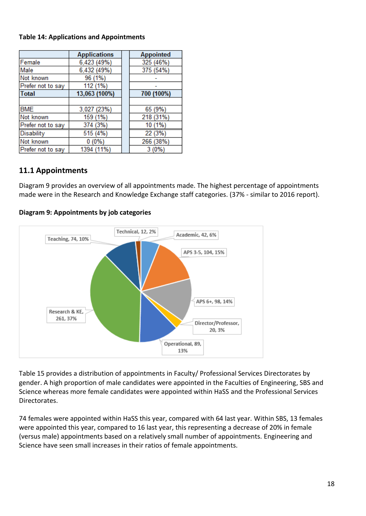### **Table 14: Applications and Appointments**

|                   | <b>Applications</b> | <b>Appointed</b> |
|-------------------|---------------------|------------------|
| Female            | 6,423 (49%)         | 325 (46%)        |
| Male              | 6,432 (49%)         | 375 (54%)        |
| Not known         | 96 (1%)             |                  |
| Prefer not to say | 112 (1%)            |                  |
| Total             | 13,063 (100%)       | 700 (100%)       |
|                   |                     |                  |
| <b>BME</b>        | 3,027 (23%)         | 65 (9%)          |
| Not known         | 159 (1%)            | 218 (31%)        |
| Prefer not to say | 374 (3%)            | 10 (1%)          |
| Disability        | 515 (4%)            | 22 (3%)          |
| Not known         | $0(0\%)$            | 266 (38%)        |
| Prefer not to say | 1394 (11%)          | 3 (0%)           |

## <span id="page-17-0"></span>**11.1 Appointments**

Diagram 9 provides an overview of all appointments made. The highest percentage of appointments made were in the Research and Knowledge Exchange staff categories. (37% - similar to 2016 report).

### **Diagram 9: Appointments by job categories**



Table 15 provides a distribution of appointments in Faculty/ Professional Services Directorates by gender. A high proportion of male candidates were appointed in the Faculties of Engineering, SBS and Science whereas more female candidates were appointed within HaSS and the Professional Services Directorates.

74 females were appointed within HaSS this year, compared with 64 last year. Within SBS, 13 females were appointed this year, compared to 16 last year, this representing a decrease of 20% in female (versus male) appointments based on a relatively small number of appointments. Engineering and Science have seen small increases in their ratios of female appointments.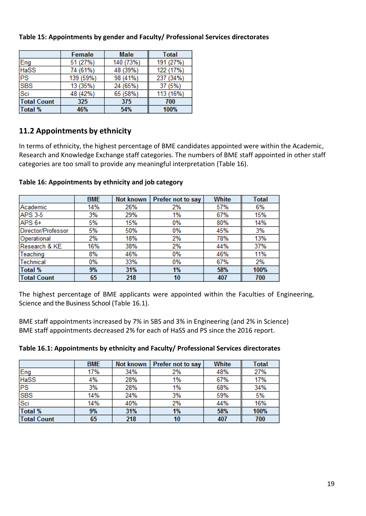|                    | Female    | <b>Male</b> |           |
|--------------------|-----------|-------------|-----------|
| Eng                | 51 (27%)  | 140 (73%)   | 191 (27%) |
| <b>HaSS</b>        | 74 (61%)  | 48 (39%)    | 122 (17%) |
| <b>PS</b>          | 139 (59%) | 98 (41%)    | 237 (34%) |
| <b>SBS</b>         | 13 (35%)  | 24 (65%)    | 37 (5%)   |
| Sci                | 48 (42%)  | 65 (58%)    | 113 (16%) |
| <b>Total Count</b> | 325       | 375         | 700       |
| <b>Total %</b>     | 46%       | 54%         | 100%      |

## **Table 15: Appointments by gender and Faculty/ Professional Services directorates**

## <span id="page-18-0"></span>**11.2 Appointments by ethnicity**

In terms of ethnicity, the highest percentage of BME candidates appointed were within the Academic, Research and Knowledge Exchange staff categories. The numbers of BME staff appointed in other staff categories are too small to provide any meaningful interpretation (Table 16).

|                    | <b>BME</b> | Not known | Prefer not to say | <b>White</b> | Total |
|--------------------|------------|-----------|-------------------|--------------|-------|
| Academic           | 14%        | 26%       | 2%                | 57%          | 6%    |
| <b>APS 3-5</b>     | 3%         | 29%       | 1%                | 67%          | 15%   |
| APS <sub>6+</sub>  | 5%         | 15%       | 0%                | 80%          | 14%   |
| Director/Professor | 5%         | 50%       | 0%                | 45%          | 3%    |
| Operational        | 2%         | 18%       | 2%                | 78%          | 13%   |
| Research & KE      | 16%        | 38%       | 2%                | 44%          | 37%   |
| Teaching           | 8%         | 46%       | 0%                | 46%          | 11%   |
| Technical          | 0%         | 33%       | 0%                | 67%          | 2%    |
| <b>Total %</b>     | 9%         | 31%       | 1%                | 58%          | 100%  |
| <b>Total Count</b> | 65         | 218       | 10                | 407          | 700   |

### **Table 16: Appointments by ethnicity and job category**

The highest percentage of BME applicants were appointed within the Faculties of Engineering, Science and the Business School (Table 16.1).

BME staff appointments increased by 7% in SBS and 3% in Engineering (and 2% in Science) BME staff appointments decreased 2% for each of HaSS and PS since the 2016 report.

| Table 16.1: Appointments by ethnicity and Faculty/ Professional Services directorates |  |
|---------------------------------------------------------------------------------------|--|
|                                                                                       |  |

|                    | <b>BME</b> | Not known | Prefer not to say | <b>White</b> | <b>Total</b> |
|--------------------|------------|-----------|-------------------|--------------|--------------|
| Eng                | 17%        | 34%       | 2%                | 48%          | 27%          |
| <b>HaSS</b>        | 4%         | 28%       | 1%                | 67%          | 17%          |
| PS                 | 3%         | 28%       | 1%                | 68%          | 34%          |
| <b>SBS</b>         | 14%        | 24%       | 3%                | 59%          | 5%           |
| Sci                | 14%        | 40%       | 2%                | 44%          | 16%          |
| <b>Total %</b>     | 9%         | 31%       | 1%                | 58%          | 100%         |
| <b>Total Count</b> | 65         | 218       | 10                | 407          | 700          |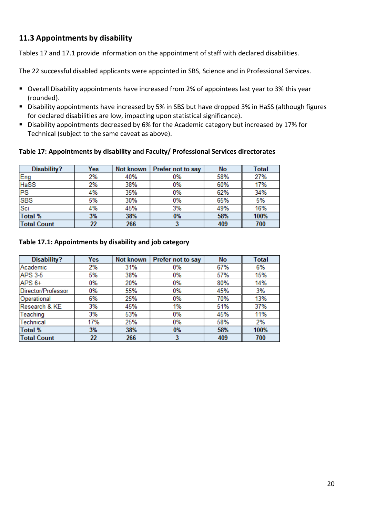## <span id="page-19-0"></span>**11.3 Appointments by disability**

Tables 17 and 17.1 provide information on the appointment of staff with declared disabilities.

The 22 successful disabled applicants were appointed in SBS, Science and in Professional Services.

- Overall Disability appointments have increased from 2% of appointees last year to 3% this year (rounded).
- Disability appointments have increased by 5% in SBS but have dropped 3% in HaSS (although figures for declared disabilities are low, impacting upon statistical significance).
- Disability appointments decreased by 6% for the Academic category but increased by 17% for Technical (subject to the same caveat as above).

### **Table 17: Appointments by disability and Faculty/ Professional Services directorates**

| Disability?        | <b>Yes</b> | Not known | Prefer not to say | No  | <b>Total</b> |
|--------------------|------------|-----------|-------------------|-----|--------------|
| Eng                | 2%         | 40%       | 0%                | 58% | 27%          |
| <b>HaSS</b>        | 2%         | 38%       | 0%                | 60% | 17%          |
| PS                 | 4%         | 35%       | 0%                | 62% | 34%          |
| <b>SBS</b>         | 5%         | 30%       | 0%                | 65% | 5%           |
| Sci                | 4%         | 45%       | 3%                | 49% | 16%          |
| <b>Total %</b>     | 3%         | 38%       | 0%                | 58% | 100%         |
| <b>Total Count</b> | 22         | 266       |                   | 409 | 700          |

### **Table 17.1: Appointments by disability and job category**

| Disability?        | Yes | Not known | Prefer not to say | <b>No</b> | <b>Total</b> |
|--------------------|-----|-----------|-------------------|-----------|--------------|
| Academic           | 2%  | 31%       | 0%                | 67%       | 6%           |
| <b>APS 3-5</b>     | 5%  | 38%       | 0%                | 57%       | 15%          |
| $APS6+$            | 0%  | 20%       | 0%                | 80%       | 14%          |
| Director/Professor | 0%  | 55%       | $0\%$             | 45%       | 3%           |
| Operational        | 6%  | 25%       | $0\%$             | 70%       | 13%          |
| Research & KE      | 3%  | 45%       | 1%                | 51%       | 37%          |
| Teaching           | 3%  | 53%       | 0%                | 45%       | 11%          |
| Technical          | 17% | 25%       | 0%                | 58%       | 2%           |
| <b>Total %</b>     | 3%  | 38%       | 0%                | 58%       | 100%         |
| <b>Total Count</b> | 22  | 266       | 3                 | 409       | 700          |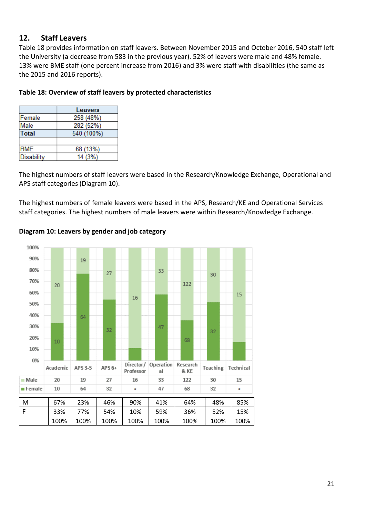## **12. Staff Leavers**

Table 18 provides information on staff leavers. Between November 2015 and October 2016, 540 staff left the University (a decrease from 583 in the previous year). 52% of leavers were male and 48% female. 13% were BME staff (one percent increase from 2016) and 3% were staff with disabilities (the same as the 2015 and 2016 reports).

|                   | Leavers    |
|-------------------|------------|
| Female            | 258 (48%)  |
| Male              | 282 (52%)  |
| <b>Total</b>      | 540 (100%) |
|                   |            |
| <b>BME</b>        | 68 (13%)   |
| <b>Disability</b> | 14 (3%)    |
|                   |            |

### **Table 18: Overview of staff leavers by protected characteristics**

The highest numbers of staff leavers were based in the Research/Knowledge Exchange, Operational and APS staff categories (Diagram 10).

The highest numbers of female leavers were based in the APS, Research/KE and Operational Services staff categories. The highest numbers of male leavers were within Research/Knowledge Exchange.



### **Diagram 10: Leavers by gender and job category**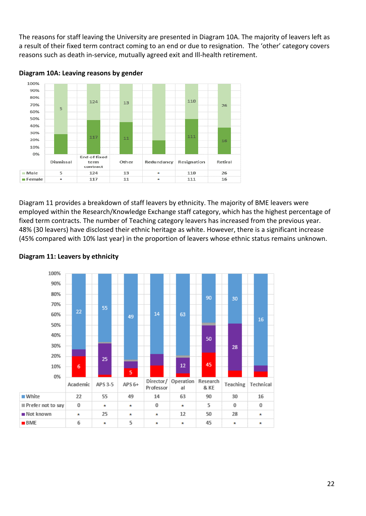The reasons for staff leaving the University are presented in Diagram 10A. The majority of leavers left as a result of their fixed term contract coming to an end or due to resignation. The 'other' category covers reasons such as death in-service, mutually agreed exit and Ill-health retirement.



**Diagram 10A: Leaving reasons by gender**

Diagram 11 provides a breakdown of staff leavers by ethnicity. The majority of BME leavers were employed within the Research/Knowledge Exchange staff category, which has the highest percentage of fixed term contracts. The number of Teaching category leavers has increased from the previous year. 48% (30 leavers) have disclosed their ethnic heritage as white. However, there is a significant increase (45% compared with 10% last year) in the proportion of leavers whose ethnic status remains unknown.



### **Diagram 11: Leavers by ethnicity**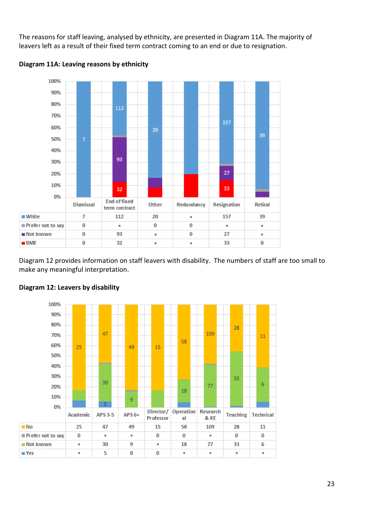The reasons for staff leaving, analysed by ethnicity, are presented in Diagram 11A. The majority of leavers left as a result of their fixed term contract coming to an end or due to resignation.





Diagram 12 provides information on staff leavers with disability. The numbers of staff are too small to make any meaningful interpretation.



### **Diagram 12: Leavers by disability**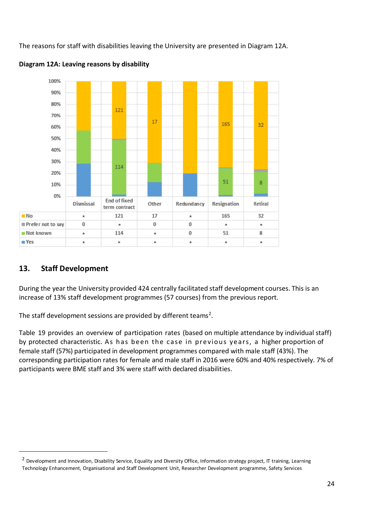The reasons for staff with disabilities leaving the University are presented in Diagram 12A.





## <span id="page-23-0"></span>**13. Staff Development**

 $\overline{a}$ 

During the year the University provided 424 centrally facilitated staff development courses. This is an increase of 13% staff development programmes (57 courses) from the previous report.

The staff development sessions are provided by different teams<sup>2</sup>.

Table 19 provides an overview of participation rates (based on multiple attendance by individual staff) by protected characteristic. As has been the case in previous years, a higher proportion of female staff (57%) participated in development programmes compared with male staff (43%). The corresponding participation rates for female and male staff in 2016 were 60% and 40% respectively. 7% of participants were BME staff and 3% were staff with declared disabilities.

<sup>&</sup>lt;sup>2</sup> Development and Innovation, Disability Service, Equality and Diversity Office, Information strategy project, IT training, Learning Technology Enhancement, Organisational and Staff Development Unit, Researcher Development programme, Safety Services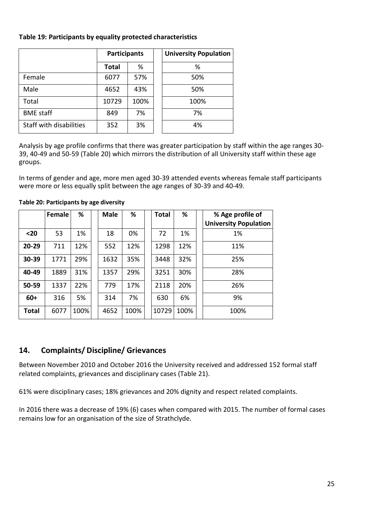### **Table 19: Participants by equality protected characteristics**

|                         | <b>Participants</b> |      | <b>University Population</b> |
|-------------------------|---------------------|------|------------------------------|
|                         | <b>Total</b>        | %    | %                            |
| Female                  | 6077                | 57%  | 50%                          |
| Male                    | 4652                | 43%  | 50%                          |
| Total                   | 10729               | 100% | 100%                         |
| <b>BME</b> staff        | 849                 | 7%   | 7%                           |
| Staff with disabilities | 352                 | 3%   | 4%                           |

Analysis by age profile confirms that there was greater participation by staff within the age ranges 30- 39, 40-49 and 50-59 (Table 20) which mirrors the distribution of all University staff within these age groups.

In terms of gender and age, more men aged 30-39 attended events whereas female staff participants were more or less equally split between the age ranges of 30-39 and 40-49.

|              | Female | %    | <b>Male</b> | %    | <b>Total</b> | %    | % Age profile of             |
|--------------|--------|------|-------------|------|--------------|------|------------------------------|
|              |        |      |             |      |              |      | <b>University Population</b> |
| $20$         | 53     | 1%   | 18          | 0%   | 72           | 1%   | 1%                           |
| 20-29        | 711    | 12%  | 552         | 12%  | 1298         | 12%  | 11%                          |
| 30-39        | 1771   | 29%  | 1632        | 35%  | 3448         | 32%  | 25%                          |
| 40-49        | 1889   | 31%  | 1357        | 29%  | 3251         | 30%  | 28%                          |
| 50-59        | 1337   | 22%  | 779         | 17%  | 2118         | 20%  | 26%                          |
| $60+$        | 316    | 5%   | 314         | 7%   | 630          | 6%   | 9%                           |
| <b>Total</b> | 6077   | 100% | 4652        | 100% | 10729        | 100% | 100%                         |

**Table 20: Participants by age diversity**

## <span id="page-24-0"></span>**14. Complaints/ Discipline/ Grievances**

Between November 2010 and October 2016 the University received and addressed 152 formal staff related complaints, grievances and disciplinary cases (Table 21).

61% were disciplinary cases; 18% grievances and 20% dignity and respect related complaints.

In 2016 there was a decrease of 19% (6) cases when compared with 2015. The number of formal cases remains low for an organisation of the size of Strathclyde.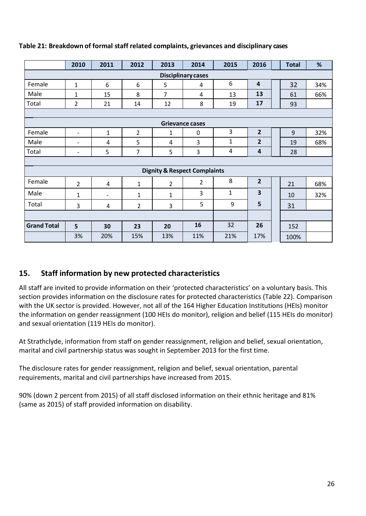|                           | 2010                     | 2011              | 2012           | 2013                                    | 2014                   | 2015         | 2016           |  | <b>Total</b> | %   |
|---------------------------|--------------------------|-------------------|----------------|-----------------------------------------|------------------------|--------------|----------------|--|--------------|-----|
| <b>Disciplinary cases</b> |                          |                   |                |                                         |                        |              |                |  |              |     |
| Female                    | $\mathbf{1}$             | 6                 | 6              | 5                                       | 4                      | 6            | $\overline{4}$ |  | 32           | 34% |
| Male                      | $\mathbf{1}$             | 15                | 8              | 7                                       | 4                      | 13           | 13             |  | 61           | 66% |
| Total                     | $\overline{2}$           | 21                | 14             | 12                                      | 8                      | 19           | 17             |  | 93           |     |
|                           |                          |                   |                |                                         |                        |              |                |  |              |     |
|                           |                          |                   |                |                                         | <b>Grievance cases</b> |              |                |  |              |     |
| Female                    | $\overline{\phantom{a}}$ | $\mathbf{1}$      | $\overline{2}$ | $\mathbf{1}$                            | $\Omega$               | 3            | $\overline{2}$ |  | 9            | 32% |
| Male                      | $\overline{\phantom{a}}$ | 4                 | 5              | $\overline{4}$                          | 3                      | $\mathbf{1}$ | $\overline{2}$ |  | 19           | 68% |
| Total                     | $\qquad \qquad$          | 5                 | $\overline{7}$ | 5                                       | 3                      | 4            | 4              |  | 28           |     |
|                           |                          |                   |                |                                         |                        |              |                |  |              |     |
|                           |                          |                   |                | <b>Dignity &amp; Respect Complaints</b> |                        |              |                |  |              |     |
| Female                    | $\overline{2}$           | 4                 | 1              | 2                                       | 2                      | 8            | $\overline{2}$ |  | 21           | 68% |
| Male                      | 1                        | $\qquad \qquad -$ | 1              | 1                                       | 3                      | 1            | 3              |  | 10           | 32% |
| Total                     | 3                        | 4                 | $\overline{2}$ | 3                                       | 5                      | 9            | 5              |  | 31           |     |
|                           |                          |                   |                |                                         |                        |              |                |  |              |     |
| <b>Grand Total</b>        | 5                        | 30                | 23             | 20                                      | 16                     | 32           | 26             |  | 152          |     |
|                           | 3%                       | 20%               | 15%            | 13%                                     | 11%                    | 21%          | 17%            |  | 100%         |     |

## **Table 21: Breakdown of formal staff related complaints, grievances and disciplinary cases**

## <span id="page-25-0"></span>**15. Staff information by new protected characteristics**

All staff are invited to provide information on their 'protected characteristics' on a voluntary basis. This section provides information on the disclosure rates for protected characteristics (Table 22). Comparison with the UK sector is provided. However, not all of the 164 Higher Education Institutions (HEIs) monitor the information on gender reassignment (100 HEIs do monitor), religion and belief (115 HEIs do monitor) and sexual orientation (119 HEIs do monitor).

At Strathclyde, information from staff on gender reassignment, religion and belief, sexual orientation, marital and civil partnership status was sought in September 2013 for the first time.

The disclosure rates for gender reassignment, religion and belief, sexual orientation, parental requirements, marital and civil partnerships have increased from 2015.

90% (down 2 percent from 2015) of all staff disclosed information on their ethnic heritage and 81% (same as 2015) of staff provided information on disability.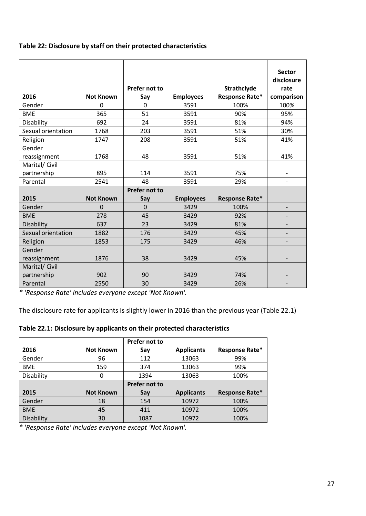## **Table 22: Disclosure by staff on their protected characteristics**

|                    |                  |                      |                  |                       | <b>Sector</b><br>disclosure |
|--------------------|------------------|----------------------|------------------|-----------------------|-----------------------------|
|                    |                  | Prefer not to        |                  | Strathclyde           | rate                        |
| 2016               | <b>Not Known</b> | Say                  | <b>Employees</b> | <b>Response Rate*</b> | comparison                  |
| Gender             | 0                | $\Omega$             | 3591             | 100%                  | 100%                        |
| <b>BME</b>         | 365              | 51                   | 3591             | 90%                   | 95%                         |
| Disability         | 692              | 24                   | 3591             | 81%                   | 94%                         |
| Sexual orientation | 1768             | 203                  | 3591             | 51%                   | 30%                         |
| Religion           | 1747             | 208                  | 3591             | 51%                   | 41%                         |
| Gender             |                  |                      |                  |                       |                             |
| reassignment       | 1768             | 48                   | 3591             | 51%                   | 41%                         |
| Marital/ Civil     |                  |                      |                  |                       |                             |
| partnership        | 895              | 114                  | 3591             | 75%                   |                             |
| Parental           | 2541             | 48                   | 3591             | 29%                   |                             |
|                    |                  | <b>Prefer not to</b> |                  |                       |                             |
| 2015               | <b>Not Known</b> | Say                  | <b>Employees</b> | Response Rate*        |                             |
| Gender             | $\overline{0}$   | $\Omega$             | 3429             | 100%                  |                             |
| <b>BME</b>         | 278              | 45                   | 3429             | 92%                   |                             |
| Disability         | 637              | 23                   | 3429             | 81%                   |                             |
| Sexual orientation | 1882             | 176                  | 3429             | 45%                   |                             |
| Religion           | 1853             | 175                  | 3429             | 46%                   |                             |
| Gender             |                  |                      |                  |                       |                             |
| reassignment       | 1876             | 38                   | 3429             | 45%                   |                             |
| Marital/ Civil     |                  |                      |                  |                       |                             |
| partnership        | 902              | 90                   | 3429             | 74%                   |                             |
| Parental           | 2550             | 30                   | 3429             | 26%                   |                             |

*\* 'Response Rate' includes everyone except 'Not Known'.* 

The disclosure rate for applicants is slightly lower in 2016 than the previous year (Table 22.1)

## **Table 22.1: Disclosure by applicants on their protected characteristics**

|            |                  | Prefer not to |                   |                |
|------------|------------------|---------------|-------------------|----------------|
| 2016       | <b>Not Known</b> | Say           | <b>Applicants</b> | Response Rate* |
| Gender     | 96               | 112           | 13063             | 99%            |
| <b>BME</b> | 159              | 374           | 13063             | 99%            |
| Disability | 0                | 1394          | 13063             | 100%           |
|            |                  | Prefer not to |                   |                |
| 2015       | <b>Not Known</b> | Say           | <b>Applicants</b> | Response Rate* |
| Gender     | 18               | 154           | 10972             | 100%           |
| <b>BME</b> | 45               | 411           | 10972             | 100%           |
|            |                  |               |                   |                |

*\* 'Response Rate' includes everyone except 'Not Known'.*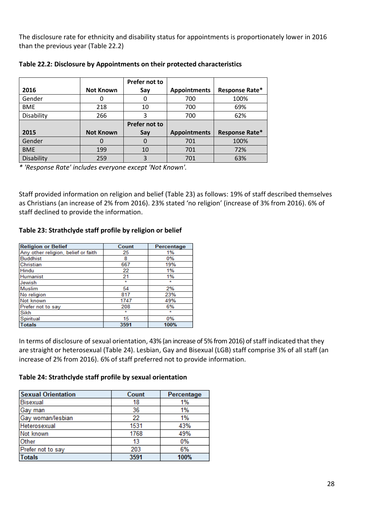The disclosure rate for ethnicity and disability status for appointments is proportionately lower in 2016 than the previous year (Table 22.2)

|            |                  | Prefer not to |                     |                |
|------------|------------------|---------------|---------------------|----------------|
| 2016       | <b>Not Known</b> | Say           | <b>Appointments</b> | Response Rate* |
| Gender     |                  | 0             | 700                 | 100%           |
| <b>BME</b> | 218              | 10            | 700                 | 69%            |
| Disability | 266              | 3             | 700                 | 62%            |
|            |                  |               |                     |                |
|            |                  | Prefer not to |                     |                |
| 2015       | <b>Not Known</b> | Say           | <b>Appointments</b> | Response Rate* |
| Gender     | $\Omega$         | 0             | 701                 | 100%           |
| <b>BME</b> | 199              | 10            | 701                 | 72%            |

**Table 22.2: Disclosure by Appointments on their protected characteristics**

*\* 'Response Rate' includes everyone except 'Not Known'.* 

Staff provided information on religion and belief (Table 23) as follows: 19% of staff described themselves as Christians (an increase of 2% from 2016). 23% stated 'no religion' (increase of 3% from 2016). 6% of staff declined to provide the information.

### **Table 23: Strathclyde staff profile by religion or belief**

| <b>Religion or Belief</b>           | Count   | Percentage |
|-------------------------------------|---------|------------|
| Any other religion, belief or faith | 25      | 1%         |
| <b>Buddhist</b>                     | 8       | 0%         |
| Christian                           | 667     | 19%        |
| <b>Hindu</b>                        | 22      | 1%         |
| Humanist                            | 21      | 1%         |
| Jewish                              | $\star$ | $\star$    |
| Muslim                              | 54      | 2%         |
| No religion                         | 817     | 23%        |
| Not known                           | 1747    | 49%        |
| Prefer not to say                   | 208     | 6%         |
| Sikh                                | $\star$ | $\star$    |
| Spiritual                           | 15      | 0%         |
| <b>Totals</b>                       | 3591    | 100%       |

In terms of disclosure of sexual orientation, 43% (an increase of 5% from 2016) of staff indicated that they are straight or heterosexual (Table 24). Lesbian, Gay and Bisexual (LGB) staff comprise 3% of all staff (an increase of 2% from 2016). 6% of staff preferred not to provide information.

#### **Table 24: Strathclyde staff profile by sexual orientation**

| <b>Sexual Orientation</b> | Count | Percentage |
|---------------------------|-------|------------|
| <b>Bisexual</b>           | 18    | 1%         |
| Gay man                   | 36    | 1%         |
| Gay woman/lesbian         | 22    | 1%         |
| Heterosexual              | 1531  | 43%        |
| Not known                 | 1768  | 49%        |
| Other                     | 13    | 0%         |
| Prefer not to say         | 203   | 6%         |
| <b>Totals</b>             | 3591  | 100%       |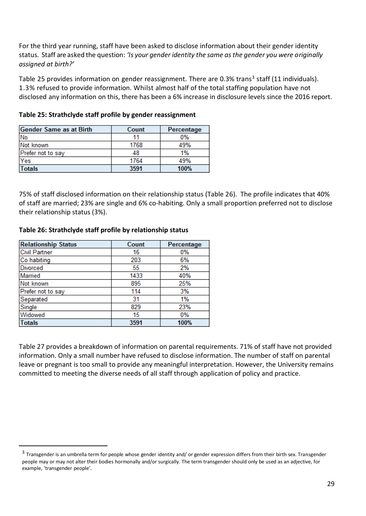For the third year running, staff have been asked to disclose information about their gender identity status. Staff are asked the question: *'Is your gender identity the same asthe gender you were originally assigned at birth?'*

Table 25 provides information on gender reassignment. There are 0.3% trans<sup>3</sup> staff (11 individuals). 1.3% refused to provide information. Whilst almost half of the total staffing population have not disclosed any information on this, there has been a 6% increase in disclosure levels since the 2016 report.

| <b>Gender Same as at Birth</b> | Count | Percentage |
|--------------------------------|-------|------------|
| No                             |       | $0\%$      |
| Not known                      | 1768  | 49%        |
| Prefer not to say              | 48    | 1%         |
| Yes                            | 1764  | 49%        |
| <b>Totals</b>                  | 3591  | 100%       |

### **Table 25: Strathclyde staff profile by gender reassignment**

75% of staff disclosed information on their relationship status (Table 26). The profile indicates that 40% of staff are married; 23% are single and 6% co-habiting. Only a small proportion preferred not to disclose their relationship status (3%).

### **Table 26: Strathclyde staff profile by relationship status**

| <b>Relationship Status</b> | Count | Percentage |
|----------------------------|-------|------------|
| <b>Civil Partner</b>       | 16    | 0%         |
| Co habiting                | 203   | 6%         |
| <b>Divorced</b>            | 55    | 2%         |
| Married                    | 1433  | 40%        |
| Not known                  | 895   | 25%        |
| Prefer not to say          | 114   | 3%         |
| Separated                  | 31    | 1%         |
| Single                     | 829   | 23%        |
| Widowed                    | 15    | 0%         |
| <b>Totals</b>              | 3591  | 100%       |

 $\overline{a}$ 

Table 27 provides a breakdown of information on parental requirements. 71% of staff have not provided information. Only a small number have refused to disclose information. The number of staff on parental leave or pregnant is too small to provide any meaningful interpretation. However, the University remains committed to meeting the diverse needs of all staff through application of policy and practice.

 $^3$  Transgender is an umbrella term for people whose gender identity and/ or gender expression differs from their birth sex. Transgender people may or may not alter their bodies hormonally and/or surgically. The term transgender should only be used as an adjective, for example, 'transgender people'.